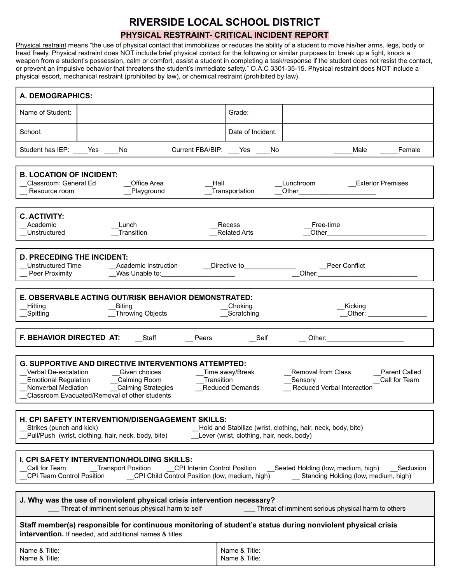## **RIVERSIDE LOCAL SCHOOL DISTRICT**

## **PHYSICAL RESTRAINT- CRITICAL INCIDENT REPORT**

Physical restraint means "the use of physical contact that immobilizes or reduces the ability of a student to move his/her arms, legs, body or head freely. Physical restraint does NOT include brief physical contact for the following or similar purposes to: break up a fight, knock a weapon from a student's possession, calm or comfort, assist a student in completing a task/response if the student does not resist the contact, or prevent an impulsive behavior that threatens the student's immediate safety." O.A.C 3301-35-15. Physical restraint does NOT include a physical escort, mechanical restraint (prohibited by law), or chemical restraint (prohibited by law).

| A. DEMOGRAPHICS:                                                                                                                                                                                                                                                                                                                                                                                                       |                                                     |  |  |  |
|------------------------------------------------------------------------------------------------------------------------------------------------------------------------------------------------------------------------------------------------------------------------------------------------------------------------------------------------------------------------------------------------------------------------|-----------------------------------------------------|--|--|--|
| Name of Student:                                                                                                                                                                                                                                                                                                                                                                                                       | Grade:                                              |  |  |  |
| School:                                                                                                                                                                                                                                                                                                                                                                                                                | Date of Incident:                                   |  |  |  |
| Student has IEP: ____Yes ___<br>Current FBA/BIP: ___Yes _<br>No                                                                                                                                                                                                                                                                                                                                                        | Male<br>Female<br>No                                |  |  |  |
| <b>B. LOCATION OF INCIDENT:</b><br>Classroom: General Ed<br>Office Area<br>Lunchroom<br><b>Exterior Premises</b><br>Hall<br>_Playground<br>Transportation<br>Other<br>Resource room                                                                                                                                                                                                                                    |                                                     |  |  |  |
| <b>C. ACTIVITY:</b><br>Academic<br>Lunch<br>Transition<br>Unstructured                                                                                                                                                                                                                                                                                                                                                 | Recess<br>Free-time<br><b>Related Arts</b><br>Other |  |  |  |
| <b>D. PRECEDING THE INCIDENT:</b><br><b>Unstructured Time</b><br>Academic Instruction<br>Directive to<br>Peer Conflict<br>Other:<br>Peer Proximity<br>Was Unable to:                                                                                                                                                                                                                                                   |                                                     |  |  |  |
| E. OBSERVABLE ACTING OUT/RISK BEHAVIOR DEMONSTRATED:<br>Hitting<br><b>Biting</b><br>Choking<br>Kicking<br>Throwing Objects<br>Scratching<br>Other:<br>Spitting                                                                                                                                                                                                                                                         |                                                     |  |  |  |
| F. BEHAVIOR DIRECTED AT:<br>Staff<br>Self<br>Peers<br>Other:                                                                                                                                                                                                                                                                                                                                                           |                                                     |  |  |  |
| <b>G. SUPPORTIVE AND DIRECTIVE INTERVENTIONS ATTEMPTED:</b><br>Verbal De-escalation<br>Given choices<br>Removal from Class<br><b>Parent Called</b><br>Time away/Break<br>Transition<br><b>Emotional Regulation</b><br>_Calming Room<br>Sensory<br>Call for Team<br>Nonverbal Mediation<br>_Calming Strategies<br>Reduced Verbal Interaction<br><b>Reduced Demands</b><br>Classroom Evacuated/Removal of other students |                                                     |  |  |  |
| <b>H. CPI SAFETY INTERVENTION/DISENGAGEMENT SKILLS:</b><br>Strikes (punch and kick)<br>Hold and Stabilize (wrist, clothing, hair, neck, body, bite)<br>Pull/Push (wrist, clothing, hair, neck, body, bite)<br>Lever (wrist, clothing, hair, neck, body)                                                                                                                                                                |                                                     |  |  |  |
| I. CPI SAFETY INTERVENTION/HOLDING SKILLS:<br>Call for Team<br>_Transport Position<br>CPI Interim Control Position<br>__Seated Holding (low, medium, high)<br>Seclusion<br>__ Standing Holding (low, medium, high)                                                                                                                                                                                                     |                                                     |  |  |  |
| J. Why was the use of nonviolent physical crisis intervention necessary?<br>Threat of imminent serious physical harm to self<br>Threat of imminent serious physical harm to others                                                                                                                                                                                                                                     |                                                     |  |  |  |
| Staff member(s) responsible for continuous monitoring of student's status during nonviolent physical crisis<br>intervention. If needed, add additional names & titles                                                                                                                                                                                                                                                  |                                                     |  |  |  |
| Name & Title:<br>Name & Title:                                                                                                                                                                                                                                                                                                                                                                                         | Name & Title:<br>Name & Title:                      |  |  |  |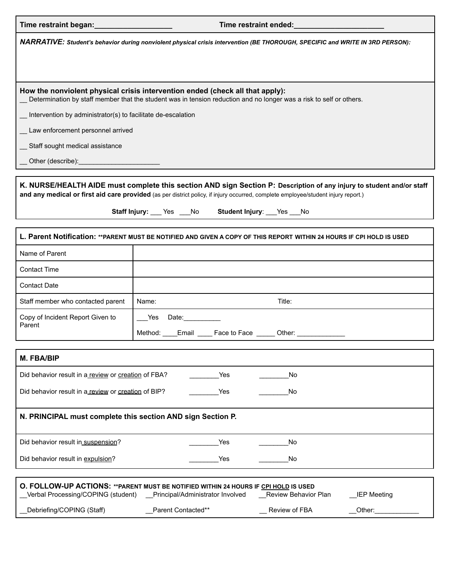| NARRATIVE: Student's behavior during nonviolent physical crisis intervention (BE THOROUGH, SPECIFIC and WRITE IN 3RD PERSON):                                                                                                                                                                              |                                                                                                                                                                |                                            |  |  |  |
|------------------------------------------------------------------------------------------------------------------------------------------------------------------------------------------------------------------------------------------------------------------------------------------------------------|----------------------------------------------------------------------------------------------------------------------------------------------------------------|--------------------------------------------|--|--|--|
|                                                                                                                                                                                                                                                                                                            |                                                                                                                                                                |                                            |  |  |  |
| How the nonviolent physical crisis intervention ended (check all that apply):<br>Determination by staff member that the student was in tension reduction and no longer was a risk to self or others.                                                                                                       |                                                                                                                                                                |                                            |  |  |  |
| _ Intervention by administrator(s) to facilitate de-escalation                                                                                                                                                                                                                                             |                                                                                                                                                                |                                            |  |  |  |
| _ Law enforcement personnel arrived                                                                                                                                                                                                                                                                        |                                                                                                                                                                |                                            |  |  |  |
| Staff sought medical assistance                                                                                                                                                                                                                                                                            |                                                                                                                                                                |                                            |  |  |  |
|                                                                                                                                                                                                                                                                                                            |                                                                                                                                                                |                                            |  |  |  |
| K. NURSE/HEALTH AIDE must complete this section AND sign Section P: Description of any injury to student and/or staff<br>and any medical or first aid care provided (as per district policy, if injury occurred, complete employee/student injury report.)<br>Staff Injury: Fes Alo Student Injury: Pes No |                                                                                                                                                                |                                            |  |  |  |
| L. Parent Notification: ** PARENT MUST BE NOTIFIED AND GIVEN A COPY OF THIS REPORT WITHIN 24 HOURS IF CPI HOLD IS USED                                                                                                                                                                                     |                                                                                                                                                                |                                            |  |  |  |
| Name of Parent                                                                                                                                                                                                                                                                                             |                                                                                                                                                                |                                            |  |  |  |
| <b>Contact Time</b>                                                                                                                                                                                                                                                                                        |                                                                                                                                                                |                                            |  |  |  |
| <b>Contact Date</b>                                                                                                                                                                                                                                                                                        |                                                                                                                                                                |                                            |  |  |  |
| Staff member who contacted parent                                                                                                                                                                                                                                                                          | Name:                                                                                                                                                          | Title:                                     |  |  |  |
| Copy of Incident Report Given to                                                                                                                                                                                                                                                                           | Yes Date:                                                                                                                                                      |                                            |  |  |  |
| Parent                                                                                                                                                                                                                                                                                                     | Method: Email Face to Face ______ Other:                                                                                                                       |                                            |  |  |  |
| M. FBA/BIP                                                                                                                                                                                                                                                                                                 |                                                                                                                                                                |                                            |  |  |  |
| Did behavior result in a review or creation of FBA?                                                                                                                                                                                                                                                        | Yes                                                                                                                                                            | No                                         |  |  |  |
| Did behavior result in a review or creation of BIP?                                                                                                                                                                                                                                                        | Yes                                                                                                                                                            | No                                         |  |  |  |
| N. PRINCIPAL must complete this section AND sign Section P.                                                                                                                                                                                                                                                |                                                                                                                                                                |                                            |  |  |  |
| Did behavior result in suspension?                                                                                                                                                                                                                                                                         | Yes                                                                                                                                                            | No                                         |  |  |  |
| Did behavior result in expulsion?                                                                                                                                                                                                                                                                          | Yes                                                                                                                                                            | No                                         |  |  |  |
|                                                                                                                                                                                                                                                                                                            | O. FOLLOW-UP ACTIONS: ** PARENT MUST BE NOTIFIED WITHIN 24 HOURS IF CPI HOLD IS USED<br>Verbal Processing/COPING (student) __ Principal/Administrator Involved | Review Behavior Plan<br><b>IEP Meeting</b> |  |  |  |
| Debriefing/COPING (Staff)                                                                                                                                                                                                                                                                                  | Parent Contacted**                                                                                                                                             | Review of FBA<br>Other:                    |  |  |  |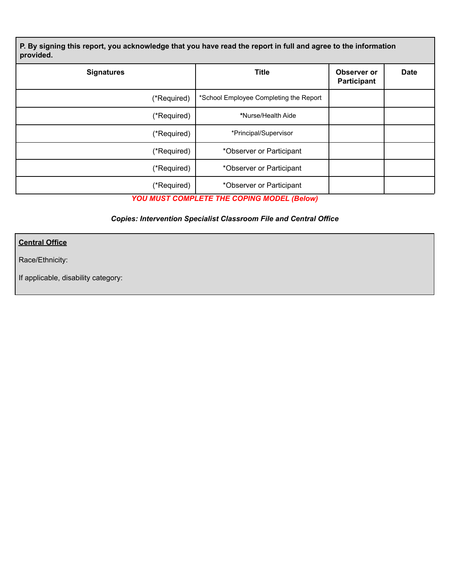P. By signing this report, you acknowledge that you have read the report in full and agree to the information **provided.**

| <b>Signatures</b> | <b>Title</b>                           | Observer or<br>Participant | <b>Date</b> |
|-------------------|----------------------------------------|----------------------------|-------------|
| (*Required)       | *School Employee Completing the Report |                            |             |
| (*Required)       | *Nurse/Health Aide                     |                            |             |
| (*Required)       | *Principal/Supervisor                  |                            |             |
| (*Required)       | *Observer or Participant               |                            |             |
| (*Required)       | *Observer or Participant               |                            |             |
| (*Required)       | *Observer or Participant               |                            |             |

*YOU MUST COMPLETE THE COPING MODEL (Below)*

## *Copies: Intervention Specialist Classroom File and Central Office*

**Central Office**

Race/Ethnicity:

If applicable, disability category: